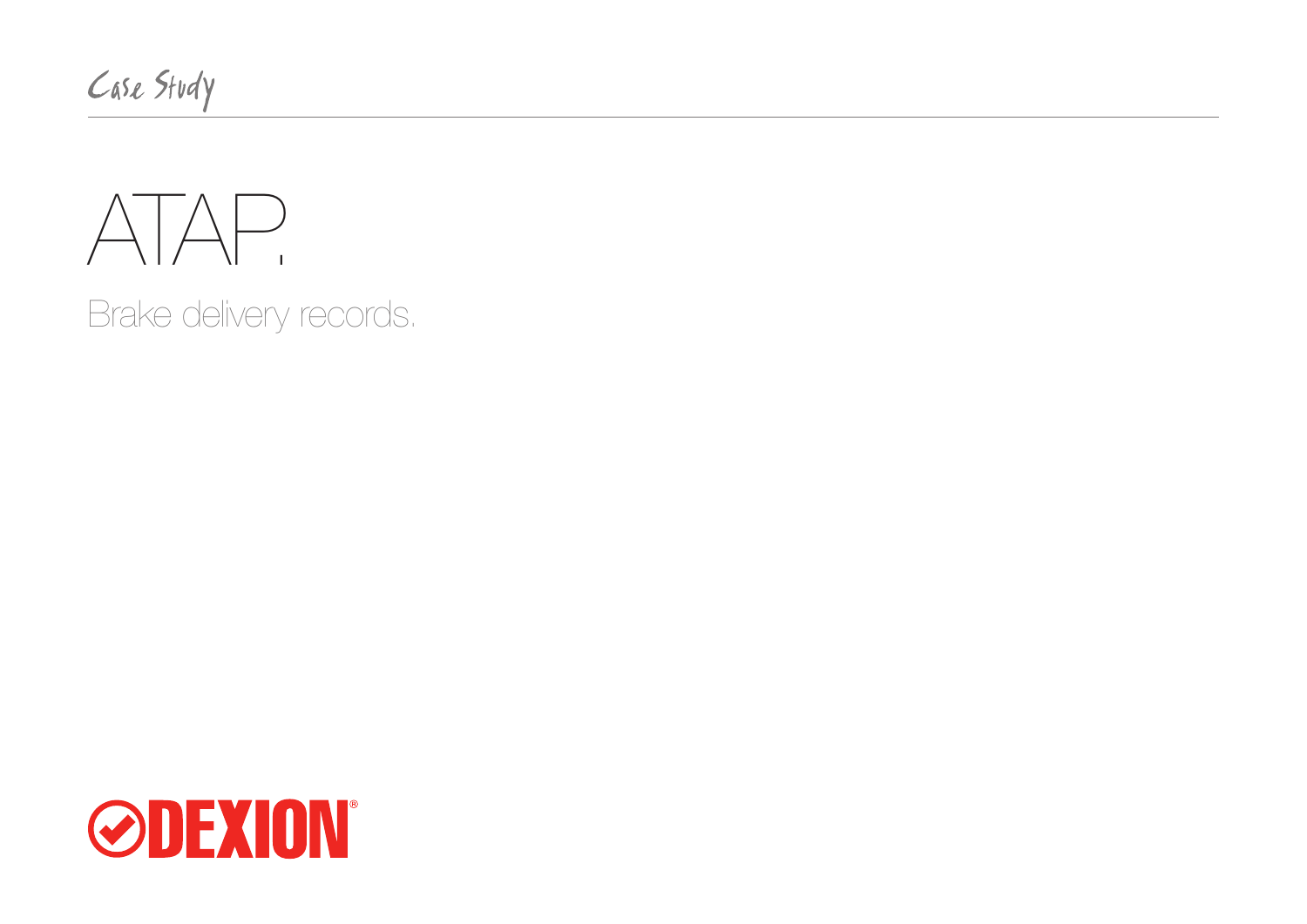Case Study



Brake delivery records.

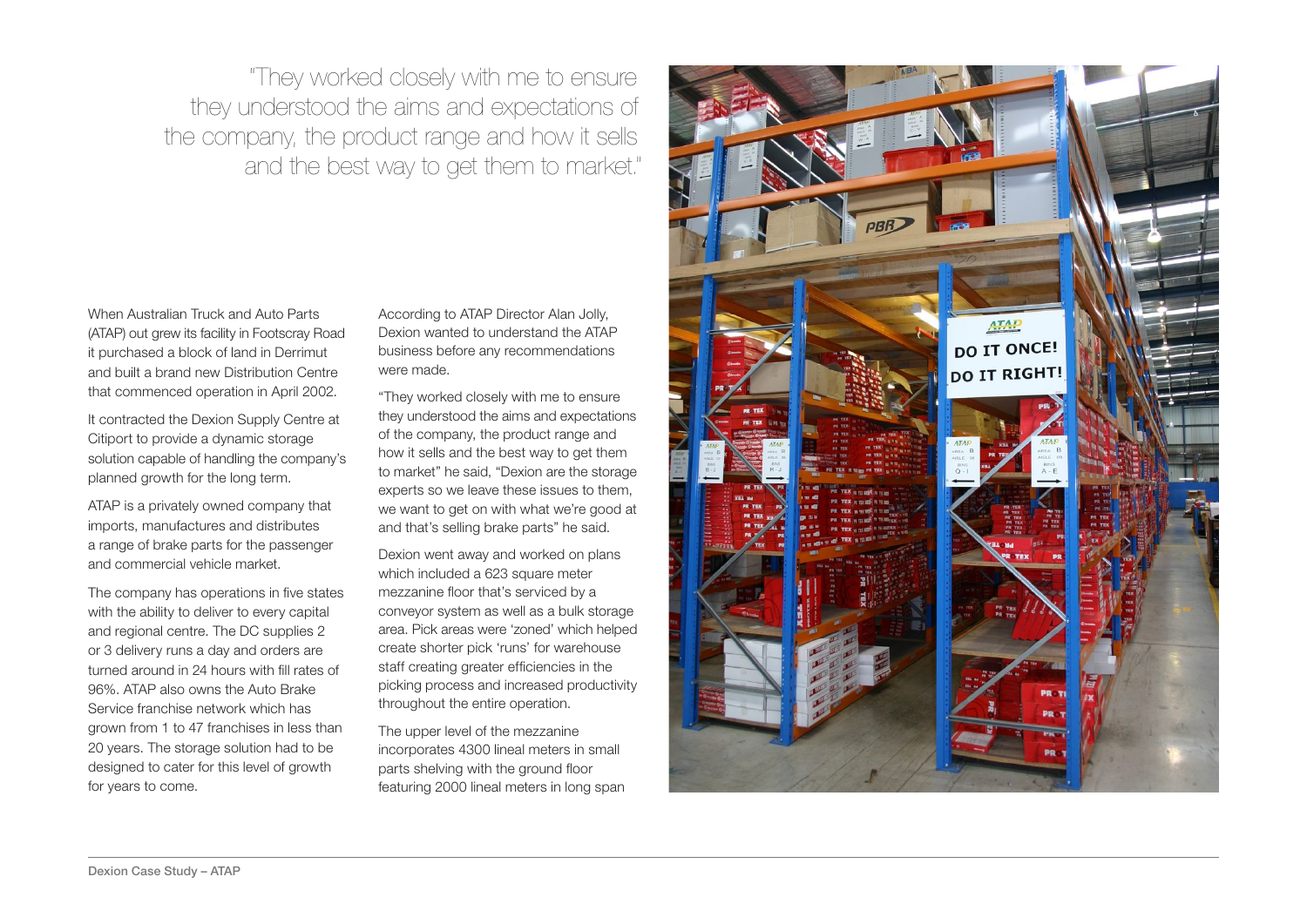"They worked closely with me to ensure they understood the aims and expectations of the company, the product range and how it sells and the best way to get them to market."

When Australian Truck and Auto Parts (ATAP) out grew its facility in Footscray Road it purchased a block of land in Derrimut and built a brand new Distribution Centre that commenced operation in April 2002.

It contracted the Dexion Supply Centre at Citiport to provide a dynamic storage solution capable of handling the company's planned growth for the long term.

ATAP is a privately owned company that imports, manufactures and distributes a range of brake parts for the passenger and commercial vehicle market.

The company has operations in five states with the ability to deliver to every capital and regional centre. The DC supplies 2 or 3 delivery runs a day and orders are turned around in 24 hours with fill rates of 96%. ATAP also owns the Auto Brake Service franchise network which has grown from 1 to 47 franchises in less than 20 years. The storage solution had to be designed to cater for this level of growth for years to come.

According to ATAP Director Alan Jolly, Dexion wanted to understand the ATAP business before any recommendations were made.

"They worked closely with me to ensure they understood the aims and expectations of the company, the product range and how it sells and the best way to get them to market" he said, "Dexion are the storage experts so we leave these issues to them, we want to get on with what we're good at and that's selling brake parts" he said.

Dexion went away and worked on plans which included a 623 square meter mezzanine floor that's serviced by a conveyor system as well as a bulk storage area. Pick areas were 'zoned' which helped create shorter pick 'runs' for warehouse staff creating greater efficiencies in the picking process and increased productivity throughout the entire operation.

The upper level of the mezzanine incorporates 4300 lineal meters in small parts shelving with the ground floor featuring 2000 lineal meters in long span